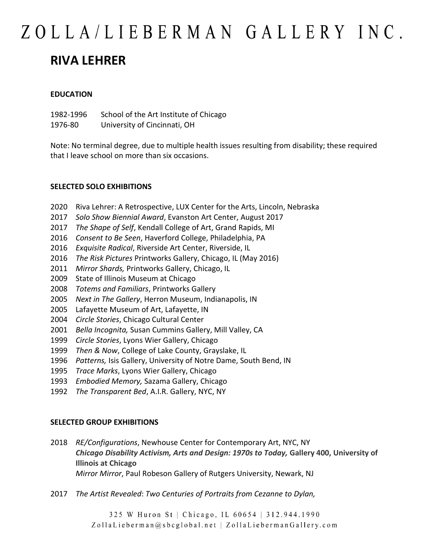### ZOLLA/LIEBERMAN GALLERY INC. **RIVA LEHRER**

#### **EDUCATION**

1982-1996 School of the Art Institute of Chicago 1976-80 University of Cincinnati, OH

Note: No terminal degree, due to multiple health issues resulting from disability; these required that I leave school on more than six occasions.

#### **SELECTED SOLO EXHIBITIONS**

- 2020 Riva Lehrer: A Retrospective, LUX Center for the Arts, Lincoln, Nebraska
- 2017 *Solo Show Biennial Award*, Evanston Art Center, August 2017
- 2017 *The Shape of Self*, Kendall College of Art, Grand Rapids, MI
- 2016 *Consent to Be Seen*, Haverford College, Philadelphia, PA
- 2016 *Exquisite Radical*, Riverside Art Center, Riverside, IL
- 2016 *The Risk Pictures* Printworks Gallery, Chicago, IL (May 2016)
- 2011 *Mirror Shards,* Printworks Gallery, Chicago, IL
- 2009 State of Illinois Museum at Chicago
- 2008 *Totems and Familiars*, Printworks Gallery
- 2005 *Next in The Gallery*, Herron Museum, Indianapolis, IN
- 2005 Lafayette Museum of Art, Lafayette, IN
- 2004 *Circle Stories*, Chicago Cultural Center
- 2001 *Bella Incognita,* Susan Cummins Gallery, Mill Valley, CA
- 1999 *Circle Stories*, Lyons Wier Gallery, Chicago
- 1999 *Then & Now*, College of Lake County, Grayslake, IL
- 1996 *Patterns,* Isis Gallery, University of Notre Dame, South Bend, IN
- 1995 *Trace Marks*, Lyons Wier Gallery, Chicago
- 1993 *Embodied Memory,* Sazama Gallery, Chicago
- 1992 *The Transparent Bed*, A.I.R. Gallery, NYC, NY

#### **SELECTED GROUP EXHIBITIONS**

- 2018 *RE/Configurations*, Newhouse Center for Contemporary Art, NYC, NY *Chicago Disability Activism, Arts and Design: 1970s to Today,* **Gallery 400, University of Illinois at Chicago** *Mirror Mirror*, Paul Robeson Gallery of Rutgers University, Newark, NJ
- 2017 *The Artist Revealed*: *Two Centuries of Portraits from Cezanne to Dylan,*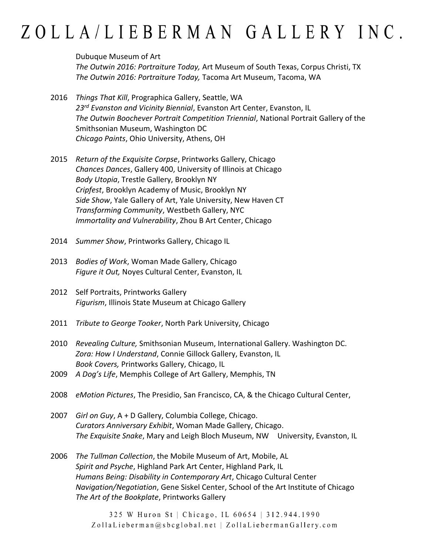Dubuque Museum of Art

*The Outwin 2016: Portraiture Today,* Art Museum of South Texas, Corpus Christi, TX *The Outwin 2016: Portraiture Today,* Tacoma Art Museum, Tacoma, WA

- 2016 *Things That Kill*, Prographica Gallery, Seattle, WA *23rd Evanston and Vicinity Biennial*, Evanston Art Center, Evanston, IL *The Outwin Boochever Portrait Competition Triennial*, National Portrait Gallery of the Smithsonian Museum, Washington DC *Chicago Paints*, Ohio University, Athens, OH
- 2015 *Return of the Exquisite Corpse*, Printworks Gallery, Chicago *Chances Dances*, Gallery 400, University of Illinois at Chicago *Body Utopia*, Trestle Gallery, Brooklyn NY *Cripfest*, Brooklyn Academy of Music, Brooklyn NY *Side Show*, Yale Gallery of Art, Yale University, New Haven CT *Transforming Community*, Westbeth Gallery, NYC *Immortality and Vulnerability*, Zhou B Art Center, Chicago
- 2014 *Summer Show*, Printworks Gallery, Chicago IL
- 2013 *Bodies of Work*, Woman Made Gallery, Chicago *Figure it Out,* Noyes Cultural Center, Evanston, IL
- 2012 Self Portraits, Printworks Gallery *Figurism*, Illinois State Museum at Chicago Gallery
- 2011 *Tribute to George Tooker*, North Park University, Chicago
- 2010 *Revealing Culture,* Smithsonian Museum, International Gallery. Washington DC. *Zora: How I Understand*, Connie Gillock Gallery, Evanston, IL *Book Covers,* Printworks Gallery, Chicago, IL
- 2009 *A Dog's Life*, Memphis College of Art Gallery, Memphis, TN
- 2008 *eMotion Pictures*, The Presidio, San Francisco, CA, & the Chicago Cultural Center,
- 2007 *Girl on Guy*, A + D Gallery, Columbia College, Chicago. *Curators Anniversary Exhibit*, Woman Made Gallery, Chicago. *The Exquisite Snake*, Mary and Leigh Bloch Museum, NW University, Evanston, IL
- 2006 *The Tullman Collection*, the Mobile Museum of Art, Mobile, AL *Spirit and Psyche*, Highland Park Art Center, Highland Park, IL *Humans Being: Disability in Contemporary Art*, Chicago Cultural Center *Navigation/Negotiation*, Gene Siskel Center, School of the Art Institute of Chicago *The Art of the Bookplate*, Printworks Gallery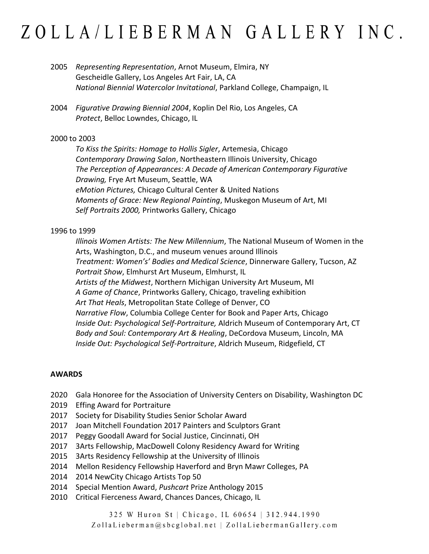- 2005 *Representing Representation*, Arnot Museum, Elmira, NY Gescheidle Gallery, Los Angeles Art Fair, LA, CA *National Biennial Watercolor Invitational*, Parkland College, Champaign, IL
- 2004 *Figurative Drawing Biennial 2004*, Koplin Del Rio, Los Angeles, CA *Protect*, Belloc Lowndes, Chicago, IL

#### 2000 to 2003

*To Kiss the Spirits: Homage to Hollis Sigler*, Artemesia, Chicago *Contemporary Drawing Salon*, Northeastern Illinois University, Chicago *The Perception of Appearances: A Decade of American Contemporary Figurative Drawing,* Frye Art Museum, Seattle, WA *eMotion Pictures,* Chicago Cultural Center & United Nations *Moments of Grace: New Regional Painting*, Muskegon Museum of Art, MI *Self Portraits 2000,* Printworks Gallery, Chicago

#### 1996 to 1999

*Illinois Women Artists: The New Millennium*, The National Museum of Women in the Arts, Washington, D.C., and museum venues around Illinois *Treatment: Women's' Bodies and Medical Science*, Dinnerware Gallery, Tucson, AZ *Portrait Show*, Elmhurst Art Museum, Elmhurst, IL *Artists of the Midwest*, Northern Michigan University Art Museum, MI *A Game of Chance*, Printworks Gallery, Chicago, traveling exhibition *Art That Heals*, Metropolitan State College of Denver, CO *Narrative Flow*, Columbia College Center for Book and Paper Arts, Chicago *Inside Out: Psychological Self-Portraiture,* Aldrich Museum of Contemporary Art, CT *Body and Soul: Contemporary Art & Healing*, DeCordova Museum, Lincoln, MA *Inside Out: Psychological Self-Portraiture*, Aldrich Museum, Ridgefield, CT

#### **AWARDS**

- 2020 Gala Honoree for the Association of University Centers on Disability, Washington DC
- 2019 Effing Award for Portraiture
- 2017 Society for Disability Studies Senior Scholar Award
- 2017 Joan Mitchell Foundation 2017 Painters and Sculptors Grant
- 2017 Peggy Goodall Award for Social Justice, Cincinnati, OH
- 2017 3Arts Fellowship, MacDowell Colony Residency Award for Writing
- 2015 3Arts Residency Fellowship at the University of Illinois
- 2014 Mellon Residency Fellowship Haverford and Bryn Mawr Colleges, PA
- 2014 2014 NewCity Chicago Artists Top 50
- 2014 Special Mention Award, *Pushcart* Prize Anthology 2015
- 2010 Critical Fierceness Award, Chances Dances, Chicago, IL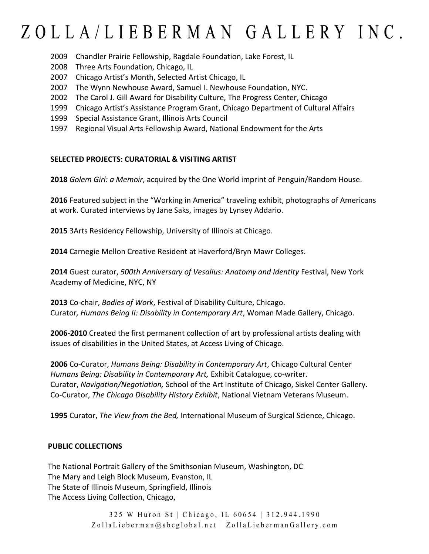- 2009 Chandler Prairie Fellowship, Ragdale Foundation, Lake Forest, IL
- 2008 Three Arts Foundation, Chicago, IL
- 2007 Chicago Artist's Month, Selected Artist Chicago, IL
- 2007 The Wynn Newhouse Award, Samuel I. Newhouse Foundation, NYC.
- 2002 The Carol J. Gill Award for Disability Culture, The Progress Center, Chicago
- 1999 Chicago Artist's Assistance Program Grant, Chicago Department of Cultural Affairs
- 1999 Special Assistance Grant, Illinois Arts Council
- 1997 Regional Visual Arts Fellowship Award, National Endowment for the Arts

#### **SELECTED PROJECTS: CURATORIAL & VISITING ARTIST**

**2018** *Golem Girl: a Memoir*, acquired by the One World imprint of Penguin/Random House.

**2016** Featured subject in the "Working in America" traveling exhibit, photographs of Americans at work. Curated interviews by Jane Saks, images by Lynsey Addario.

**2015** 3Arts Residency Fellowship, University of Illinois at Chicago.

**2014** Carnegie Mellon Creative Resident at Haverford/Bryn Mawr Colleges.

**2014** Guest curator, *500th Anniversary of Vesalius: Anatomy and Identity* Festival, New York Academy of Medicine, NYC, NY

**2013** Co-chair, *Bodies of Work*, Festival of Disability Culture, Chicago. Curator*, Humans Being II: Disability in Contemporary Art*, Woman Made Gallery, Chicago.

**2006-2010** Created the first permanent collection of art by professional artists dealing with issues of disabilities in the United States, at Access Living of Chicago.

**2006** Co-Curator, *Humans Being: Disability in Contemporary Art*, Chicago Cultural Center *Humans Being: Disability in Contemporary Art,* Exhibit Catalogue, co-writer. Curator, *Navigation/Negotiation,* School of the Art Institute of Chicago, Siskel Center Gallery. Co-Curator, *The Chicago Disability History Exhibit*, National Vietnam Veterans Museum.

**1995** Curator, *The View from the Bed,* International Museum of Surgical Science, Chicago.

#### **PUBLIC COLLECTIONS**

The National Portrait Gallery of the Smithsonian Museum, Washington, DC The Mary and Leigh Block Museum, Evanston, IL The State of Illinois Museum, Springfield, Illinois The Access Living Collection, Chicago,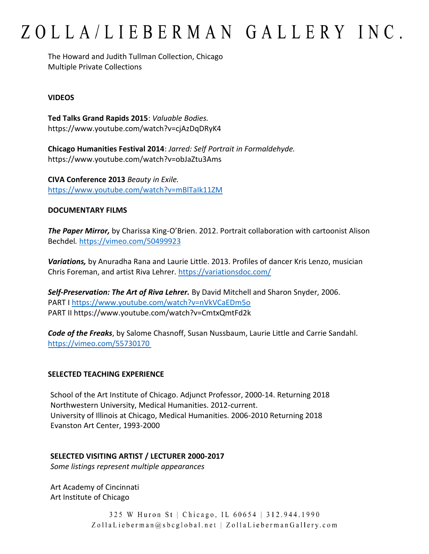The Howard and Judith Tullman Collection, Chicago Multiple Private Collections

#### **VIDEOS**

**Ted Talks Grand Rapids 2015**: *Valuable Bodies.*  https://www.youtube.com/watch?v=cjAzDqDRyK4

**Chicago Humanities Festival 2014**: *Jarred: Self Portrait in Formaldehyde.*  https://www.youtube.com/watch?v=obJaZtu3Ams

**CIVA Conference 2013** *Beauty in Exile.*  <https://www.youtube.com/watch?v=mBlTaIk11ZM>

#### **DOCUMENTARY FILMS**

*The Paper Mirror,* by Charissa King-O'Brien. 2012. Portrait collaboration with cartoonist Alison Bechdel*.* <https://vimeo.com/50499923>

*Variations,* by Anuradha Rana and Laurie Little. 2013. Profiles of dancer Kris Lenzo, musician Chris Foreman, and artist Riva Lehrer.<https://variationsdoc.com/>

*Self-Preservation: The Art of Riva Lehrer.* By David Mitchell and Sharon Snyder, 2006. PART I<https://www.youtube.com/watch?v=nVkVCaEDm5o> PART II https://www.youtube.com/watch?v=CmtxQmtFd2k

*Code of the Freaks*, by Salome Chasnoff, Susan Nussbaum, Laurie Little and Carrie Sandahl. <https://vimeo.com/55730170>

#### **SELECTED TEACHING EXPERIENCE**

School of the Art Institute of Chicago. Adjunct Professor, 2000-14. Returning 2018 Northwestern University, Medical Humanities. 2012-current. University of Illinois at Chicago, Medical Humanities. 2006-2010 Returning 2018 Evanston Art Center, 1993-2000

#### **SELECTED VISITING ARTIST / LECTURER 2000-2017**

*Some listings represent multiple appearances*

Art Academy of Cincinnati Art Institute of Chicago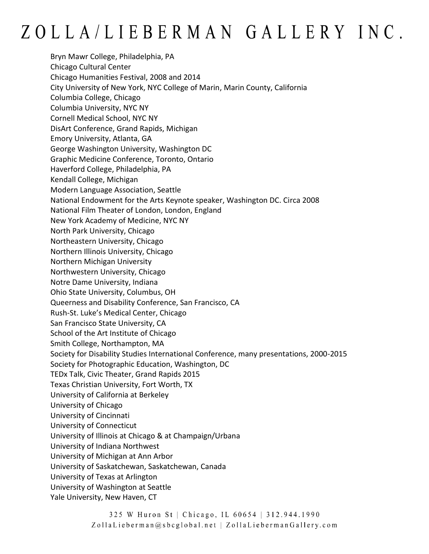Bryn Mawr College, Philadelphia, PA Chicago Cultural Center Chicago Humanities Festival, 2008 and 2014 City University of New York, NYC College of Marin, Marin County, California Columbia College, Chicago Columbia University, NYC NY Cornell Medical School, NYC NY DisArt Conference, Grand Rapids, Michigan Emory University, Atlanta, GA George Washington University, Washington DC Graphic Medicine Conference, Toronto, Ontario Haverford College, Philadelphia, PA Kendall College, Michigan Modern Language Association, Seattle National Endowment for the Arts Keynote speaker, Washington DC. Circa 2008 National Film Theater of London, London, England New York Academy of Medicine, NYC NY North Park University, Chicago Northeastern University, Chicago Northern Illinois University, Chicago Northern Michigan University Northwestern University, Chicago Notre Dame University, Indiana Ohio State University, Columbus, OH Queerness and Disability Conference, San Francisco, CA Rush-St. Luke's Medical Center, Chicago San Francisco State University, CA School of the Art Institute of Chicago Smith College, Northampton, MA Society for Disability Studies International Conference, many presentations, 2000-2015 Society for Photographic Education, Washington, DC TEDx Talk, Civic Theater, Grand Rapids 2015 Texas Christian University, Fort Worth, TX University of California at Berkeley University of Chicago University of Cincinnati University of Connecticut University of Illinois at Chicago & at Champaign/Urbana University of Indiana Northwest University of Michigan at Ann Arbor University of Saskatchewan, Saskatchewan, Canada University of Texas at Arlington University of Washington at Seattle Yale University, New Haven, CT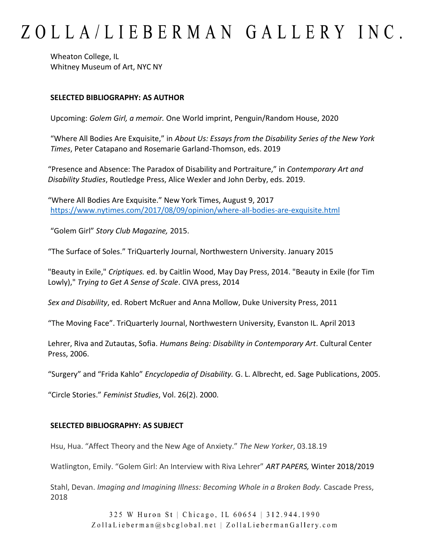Wheaton College, IL Whitney Museum of Art, NYC NY

#### **SELECTED BIBLIOGRAPHY: AS AUTHOR**

Upcoming: *Golem Girl, a memoir.* One World imprint, Penguin/Random House, 2020

"Where All Bodies Are Exquisite," in *About Us: Essays from the Disability Series of the New York Times*, Peter Catapano and Rosemarie Garland-Thomson, eds. 2019

"Presence and Absence: The Paradox of Disability and Portraiture," in *Contemporary Art and Disability Studies*, Routledge Press, Alice Wexler and John Derby, eds. 2019.

"Where All Bodies Are Exquisite." New York Times, August 9, 2017 <https://www.nytimes.com/2017/08/09/opinion/where-all-bodies-are-exquisite.html>

"Golem Girl" *Story Club Magazine,* 2015.

"The Surface of Soles." TriQuarterly Journal, Northwestern University. January 2015

"Beauty in Exile," *Criptiques.* ed. by Caitlin Wood, May Day Press, 2014. "Beauty in Exile (for Tim Lowly)," *Trying to Get A Sense of Scale*. CIVA press, 2014

*Sex and Disability*, ed. Robert McRuer and Anna Mollow, Duke University Press, 2011

"The Moving Face". TriQuarterly Journal, Northwestern University, Evanston IL. April 2013

Lehrer, Riva and Zutautas, Sofia. *Humans Being: Disability in Contemporary Art*. Cultural Center Press, 2006.

"Surgery" and "Frida Kahlo" *Encyclopedia of Disability.* G. L. Albrecht, ed. Sage Publications, 2005.

"Circle Stories." *Feminist Studies*, Vol. 26(2). 2000.

#### **SELECTED BIBLIOGRAPHY: AS SUBJECT**

Hsu, Hua. "Affect Theory and the New Age of Anxiety." *The New Yorker*, 03.18.19

Watlington, Emily. "Golem Girl: An Interview with Riva Lehrer" *ART PAPERS,* Winter 2018/2019

Stahl, Devan. *Imaging and Imagining Illness: Becoming Whole in a Broken Body.* Cascade Press, 2018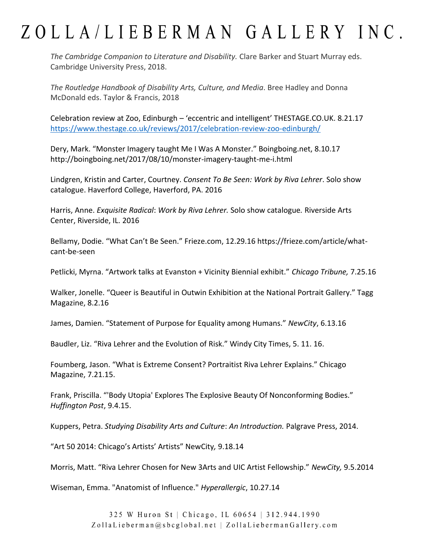*The Cambridge Companion to Literature and Disability.* Clare Barker and Stuart Murray eds. Cambridge University Press, 2018.

*The Routledge Handbook of Disability Arts, Culture, and Media*. Bree Hadley and Donna McDonald eds. Taylor & Francis, 2018

Celebration review at Zoo, Edinburgh – 'eccentric and intelligent' THESTAGE.CO.UK. 8.21.17 <https://www.thestage.co.uk/reviews/2017/celebration-review-zoo-edinburgh/>

Dery, Mark. "Monster Imagery taught Me I Was A Monster." Boingboing.net, 8.10.17 http://boingboing.net/2017/08/10/monster-imagery-taught-me-i.html

Lindgren, Kristin and Carter, Courtney. *Consent To Be Seen: Work by Riva Lehrer*. Solo show catalogue. Haverford College, Haverford, PA. 2016

Harris, Anne. *Exquisite Radical*: *Work by Riva Lehrer.* Solo show catalogue*.* Riverside Arts Center, Riverside, IL. 2016

Bellamy, Dodie. "What Can't Be Seen." Frieze.com, 12.29.16 https://frieze.com/article/whatcant-be-seen

Petlicki, Myrna. "Artwork talks at Evanston + Vicinity Biennial exhibit." *Chicago Tribune,* 7.25.16

Walker, Jonelle. "Queer is Beautiful in Outwin Exhibition at the National Portrait Gallery." Tagg Magazine, 8.2.16

James, Damien. "Statement of Purpose for Equality among Humans." *NewCity*, 6.13.16

Baudler, Liz. "Riva Lehrer and the Evolution of Risk." Windy City Times, 5. 11. 16.

Foumberg, Jason. "What is Extreme Consent? Portraitist Riva Lehrer Explains." Chicago Magazine, 7.21.15.

Frank, Priscilla. "'Body Utopia' Explores The Explosive Beauty Of Nonconforming Bodies." *Huffington Post*, 9.4.15.

Kuppers, Petra. *Studying Disability Arts and Culture*: *An Introduction.* Palgrave Press, 2014.

"Art 50 2014: Chicago's Artists' Artists" NewCity*,* 9.18.14

Morris, Matt. "Riva Lehrer Chosen for New 3Arts and UIC Artist Fellowship." *NewCity,* 9.5.2014

Wiseman, Emma. "Anatomist of Influence." *Hyperallergic*, 10.27.14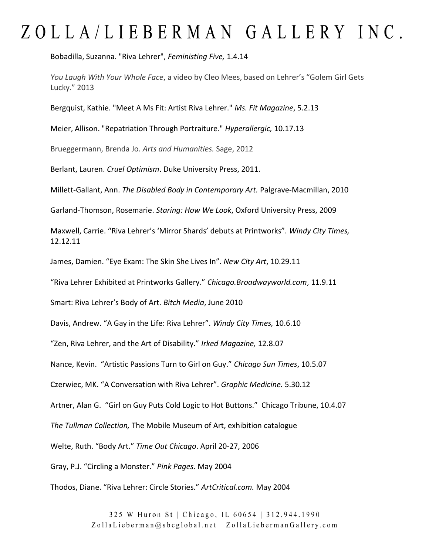Bobadilla, Suzanna. "Riva Lehrer", *Feministing Five,* 1.4.14

*You Laugh With Your Whole Face*, a video by Cleo Mees, based on Lehrer's "Golem Girl Gets Lucky." 2013

Bergquist, Kathie. "Meet A Ms Fit: Artist Riva Lehrer." *Ms. Fit Magazine*, 5.2.13

Meier, Allison. "Repatriation Through Portraiture." *Hyperallergic,* 10.17.13

Brueggermann, Brenda Jo. *Arts and Humanities.* Sage, 2012

Berlant, Lauren. *Cruel Optimism*. Duke University Press, 2011.

Millett-Gallant, Ann. *The Disabled Body in Contemporary Art.* Palgrave-Macmillan, 2010

Garland-Thomson, Rosemarie. *Staring: How We Look*, Oxford University Press, 2009

Maxwell, Carrie. "Riva Lehrer's 'Mirror Shards' debuts at Printworks". *Windy City Times,* 12.12.11

James, Damien. "Eye Exam: The Skin She Lives In". *New City Art*, 10.29.11

"Riva Lehrer Exhibited at Printworks Gallery." *Chicago.Broadwayworld.com*, 11.9.11

Smart: Riva Lehrer's Body of Art. *Bitch Media*, June 2010

Davis, Andrew. "A Gay in the Life: Riva Lehrer". *Windy City Times,* 10.6.10

"Zen, Riva Lehrer, and the Art of Disability." *Irked Magazine,* 12.8.07

Nance, Kevin. "Artistic Passions Turn to Girl on Guy." *Chicago Sun Times*, 10.5.07

Czerwiec, MK. "A Conversation with Riva Lehrer". *Graphic Medicine.* 5.30.12

Artner, Alan G. "Girl on Guy Puts Cold Logic to Hot Buttons." Chicago Tribune, 10.4.07

*The Tullman Collection,* The Mobile Museum of Art, exhibition catalogue

Welte, Ruth. "Body Art." *Time Out Chicago*. April 20-27, 2006

Gray, P.J. "Circling a Monster." *Pink Pages*. May 2004

Thodos, Diane. "Riva Lehrer: Circle Stories." *ArtCritical.com.* May 2004